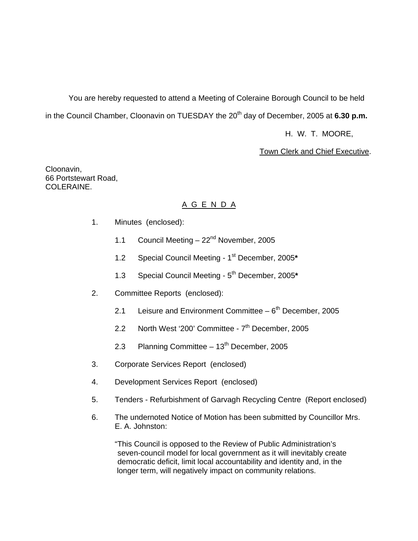You are hereby requested to attend a Meeting of Coleraine Borough Council to be held in the Council Chamber, Cloonavin on TUESDAY the 20<sup>th</sup> day of December, 2005 at 6.30 p.m.

H. W. T. MOORE,

Town Clerk and Chief Executive.

Cloonavin, 66 Portstewart Road, COLERAINE.

# A G E N D A

- 1. Minutes (enclosed):
	- 1.1 Council Meeting 22<sup>nd</sup> November, 2005
	- 1.2 Special Council Meeting 1st December, 2005**\***
	- 1.3 Special Council Meeting 5th December, 2005**\***
- 2. Committee Reports (enclosed):
	- 2.1 Leisure and Environment Committee  $-6<sup>th</sup>$  December, 2005
	- 2.2 North West '200' Committee  $7<sup>th</sup>$  December, 2005
	- 2.3 Planning Committee  $-13<sup>th</sup>$  December, 2005
- 3. Corporate Services Report (enclosed)
- 4. Development Services Report (enclosed)
- 5. Tenders Refurbishment of Garvagh Recycling Centre (Report enclosed)
- 6. The undernoted Notice of Motion has been submitted by Councillor Mrs. E. A. Johnston:

 "This Council is opposed to the Review of Public Administration's seven-council model for local government as it will inevitably create democratic deficit, limit local accountability and identity and, in the longer term, will negatively impact on community relations.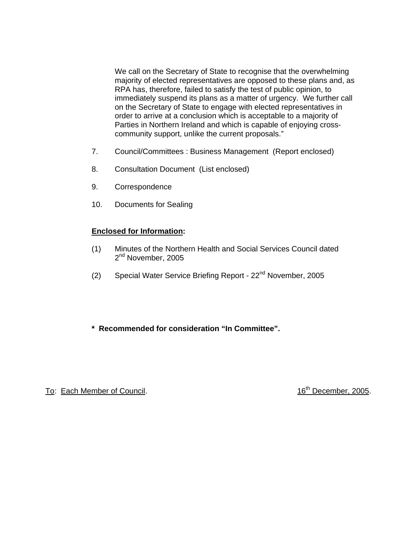We call on the Secretary of State to recognise that the overwhelming majority of elected representatives are opposed to these plans and, as RPA has, therefore, failed to satisfy the test of public opinion, to immediately suspend its plans as a matter of urgency. We further call on the Secretary of State to engage with elected representatives in order to arrive at a conclusion which is acceptable to a majority of Parties in Northern Ireland and which is capable of enjoying crosscommunity support, unlike the current proposals."

- 7. Council/Committees : Business Management (Report enclosed)
- 8. Consultation Document (List enclosed)
- 9. Correspondence
- 10. Documents for Sealing

# **Enclosed for Information:**

- (1) Minutes of the Northern Health and Social Services Council dated 2<sup>nd</sup> November, 2005
- (2) Special Water Service Briefing Report 22<sup>nd</sup> November, 2005
- **\* Recommended for consideration "In Committee".**

To: Each Member of Council. **16th** December, 2005.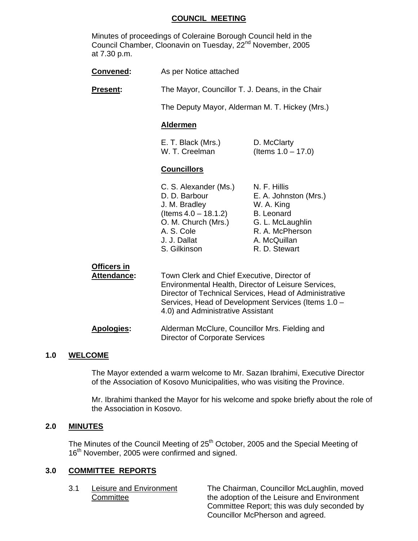## **COUNCIL MEETING**

 Minutes of proceedings of Coleraine Borough Council held in the Council Chamber, Cloonavin on Tuesday, 22<sup>nd</sup> November, 2005 at 7.30 p.m.

| <b>Convened:</b>                  | As per Notice attached                                                                                                                                                                                                                                   |                                                                                                                                                  |
|-----------------------------------|----------------------------------------------------------------------------------------------------------------------------------------------------------------------------------------------------------------------------------------------------------|--------------------------------------------------------------------------------------------------------------------------------------------------|
| <b>Present:</b>                   | The Mayor, Councillor T. J. Deans, in the Chair                                                                                                                                                                                                          |                                                                                                                                                  |
|                                   | The Deputy Mayor, Alderman M. T. Hickey (Mrs.)                                                                                                                                                                                                           |                                                                                                                                                  |
|                                   | <b>Aldermen</b>                                                                                                                                                                                                                                          |                                                                                                                                                  |
|                                   | E. T. Black (Mrs.)<br>W. T. Creelman                                                                                                                                                                                                                     | D. McClarty<br>(Items $1.0 - 17.0$ )                                                                                                             |
|                                   | <b>Councillors</b>                                                                                                                                                                                                                                       |                                                                                                                                                  |
|                                   | C. S. Alexander (Ms.)<br>D. D. Barbour<br>J. M. Bradley<br>$($ ltems 4.0 $-$ 18.1.2)<br>O. M. Church (Mrs.)<br>A. S. Cole<br>J. J. Dallat<br>S. Gilkinson                                                                                                | N. F. Hillis<br>E. A. Johnston (Mrs.)<br>W. A. King<br><b>B.</b> Leonard<br>G. L. McLaughlin<br>R. A. McPherson<br>A. McQuillan<br>R. D. Stewart |
| <b>Officers in</b><br>Attendance: | Town Clerk and Chief Executive, Director of<br>Environmental Health, Director of Leisure Services,<br>Director of Technical Services, Head of Administrative<br>Services, Head of Development Services (Items 1.0 -<br>4.0) and Administrative Assistant |                                                                                                                                                  |
| <b>Apologies:</b>                 | Alderman McClure, Councillor Mrs. Fielding and                                                                                                                                                                                                           |                                                                                                                                                  |

#### **1.0 WELCOME**

 The Mayor extended a warm welcome to Mr. Sazan Ibrahimi, Executive Director of the Association of Kosovo Municipalities, who was visiting the Province.

Director of Corporate Services

 Mr. Ibrahimi thanked the Mayor for his welcome and spoke briefly about the role of the Association in Kosovo.

#### **2.0 MINUTES**

The Minutes of the Council Meeting of 25<sup>th</sup> October, 2005 and the Special Meeting of 16<sup>th</sup> November, 2005 were confirmed and signed.

#### **3.0 COMMITTEE REPORTS**

 3.1 Leisure and Environment The Chairman, Councillor McLaughlin, moved Committee **the adoption of the Leisure and Environment**  Committee Report; this was duly seconded by Councillor McPherson and agreed.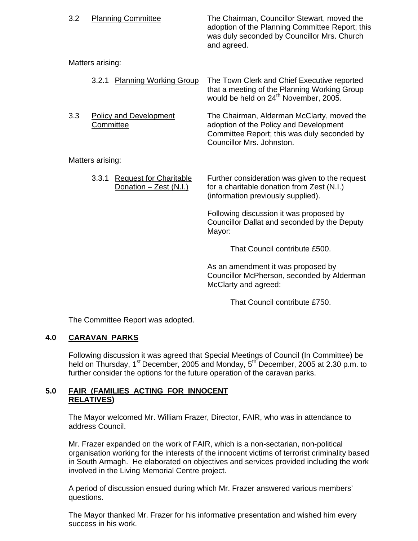| 3.2 |                  | <b>Planning Committee</b>                               | The Chairman, Councillor Stewart, moved the<br>adoption of the Planning Committee Report; this<br>was duly seconded by Councillor Mrs. Church<br>and agreed.     |
|-----|------------------|---------------------------------------------------------|------------------------------------------------------------------------------------------------------------------------------------------------------------------|
|     | Matters arising: |                                                         |                                                                                                                                                                  |
|     | 3.2.1            | <b>Planning Working Group</b>                           | The Town Clerk and Chief Executive reported<br>that a meeting of the Planning Working Group<br>would be held on 24 <sup>th</sup> November, 2005.                 |
| 3.3 | Committee        | <b>Policy and Development</b>                           | The Chairman, Alderman McClarty, moved the<br>adoption of the Policy and Development<br>Committee Report; this was duly seconded by<br>Councillor Mrs. Johnston. |
|     | Matters arising: |                                                         |                                                                                                                                                                  |
|     | 3.3.1            | <b>Request for Charitable</b><br>Donation - Zest (N.I.) | Further consideration was given to the request<br>for a charitable donation from Zest (N.I.)<br>(information previously supplied).                               |
|     |                  |                                                         | Following discussion it was proposed by<br>Councillor Dallat and seconded by the Deputy<br>Mayor:                                                                |
|     |                  |                                                         | That Council contribute £500.                                                                                                                                    |
|     |                  |                                                         | and the contract of the contract of                                                                                                                              |

 As an amendment it was proposed by Councillor McPherson, seconded by Alderman McClarty and agreed:

That Council contribute £750.

The Committee Report was adopted.

# **4.0 CARAVAN PARKS**

 Following discussion it was agreed that Special Meetings of Council (In Committee) be held on Thursday, 1<sup>st</sup> December, 2005 and Monday, 5<sup>th</sup> December, 2005 at 2.30 p.m. to further consider the options for the future operation of the caravan parks.

# **5.0 FAIR (FAMILIES ACTING FOR INNOCENT RELATIVES)**

The Mayor welcomed Mr. William Frazer, Director, FAIR, who was in attendance to address Council.

 Mr. Frazer expanded on the work of FAIR, which is a non-sectarian, non-political organisation working for the interests of the innocent victims of terrorist criminality based in South Armagh. He elaborated on objectives and services provided including the work involved in the Living Memorial Centre project.

 A period of discussion ensued during which Mr. Frazer answered various members' questions.

 The Mayor thanked Mr. Frazer for his informative presentation and wished him every success in his work.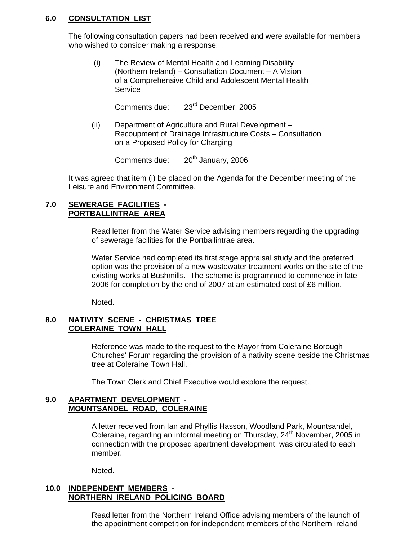# **6.0 CONSULTATION LIST**

 The following consultation papers had been received and were available for members who wished to consider making a response:

 (i) The Review of Mental Health and Learning Disability (Northern Ireland) – Consultation Document – A Vision of a Comprehensive Child and Adolescent Mental Health Service

Comments due: 23rd December, 2005

 (ii) Department of Agriculture and Rural Development – Recoupment of Drainage Infrastructure Costs – Consultation on a Proposed Policy for Charging

Comments due:  $20<sup>th</sup>$  January, 2006

 It was agreed that item (i) be placed on the Agenda for the December meeting of the Leisure and Environment Committee.

### **7.0 SEWERAGE FACILITIES - PORTBALLINTRAE AREA**

 Read letter from the Water Service advising members regarding the upgrading of sewerage facilities for the Portballintrae area.

 Water Service had completed its first stage appraisal study and the preferred option was the provision of a new wastewater treatment works on the site of the existing works at Bushmills. The scheme is programmed to commence in late 2006 for completion by the end of 2007 at an estimated cost of £6 million.

Noted.

# **8.0 NATIVITY SCENE - CHRISTMAS TREE COLERAINE TOWN HALL**

 Reference was made to the request to the Mayor from Coleraine Borough Churches' Forum regarding the provision of a nativity scene beside the Christmas tree at Coleraine Town Hall.

The Town Clerk and Chief Executive would explore the request.

### **9.0 APARTMENT DEVELOPMENT - MOUNTSANDEL ROAD, COLERAINE**

 A letter received from Ian and Phyllis Hasson, Woodland Park, Mountsandel, Coleraine, regarding an informal meeting on Thursday, 24<sup>th</sup> November, 2005 in connection with the proposed apartment development, was circulated to each member.

Noted.

# **10.0 INDEPENDENT MEMBERS - NORTHERN IRELAND POLICING BOARD**

 Read letter from the Northern Ireland Office advising members of the launch of the appointment competition for independent members of the Northern Ireland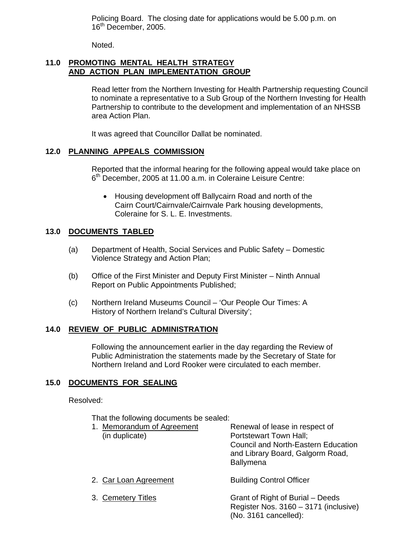Policing Board. The closing date for applications would be 5.00 p.m. on 16<sup>th</sup> December, 2005.

Noted.

# **11.0 PROMOTING MENTAL HEALTH STRATEGY AND ACTION PLAN IMPLEMENTATION GROUP**

 Read letter from the Northern Investing for Health Partnership requesting Council to nominate a representative to a Sub Group of the Northern Investing for Health Partnership to contribute to the development and implementation of an NHSSB area Action Plan.

It was agreed that Councillor Dallat be nominated.

# **12.0 PLANNING APPEALS COMMISSION**

 Reported that the informal hearing for the following appeal would take place on 6<sup>th</sup> December, 2005 at 11.00 a.m. in Coleraine Leisure Centre:

• Housing development off Ballycairn Road and north of the Cairn Court/Cairnvale/Cairnvale Park housing developments, Coleraine for S. L. E. Investments.

# **13.0 DOCUMENTS TABLED**

- (a) Department of Health, Social Services and Public Safety Domestic Violence Strategy and Action Plan;
- (b) Office of the First Minister and Deputy First Minister Ninth Annual Report on Public Appointments Published;
- (c) Northern Ireland Museums Council 'Our People Our Times: A History of Northern Ireland's Cultural Diversity';

# **14.0 REVIEW OF PUBLIC ADMINISTRATION**

 Following the announcement earlier in the day regarding the Review of Public Administration the statements made by the Secretary of State for Northern Ireland and Lord Rooker were circulated to each member.

# **15.0 DOCUMENTS FOR SEALING**

#### Resolved:

That the following documents be sealed:

| 1. Memorandum of Agreement | Renewal of lease in respect of                                                                     |
|----------------------------|----------------------------------------------------------------------------------------------------|
| (in duplicate)             | Portstewart Town Hall;                                                                             |
|                            | <b>Council and North-Eastern Education</b><br>and Library Board, Galgorm Road,<br><b>Ballymena</b> |
|                            |                                                                                                    |

- 2. Car Loan Agreement Building Control Officer
- 

 3. Cemetery Titles Grant of Right of Burial – Deeds Register Nos. 3160 – 3171 (inclusive) (No. 3161 cancelled):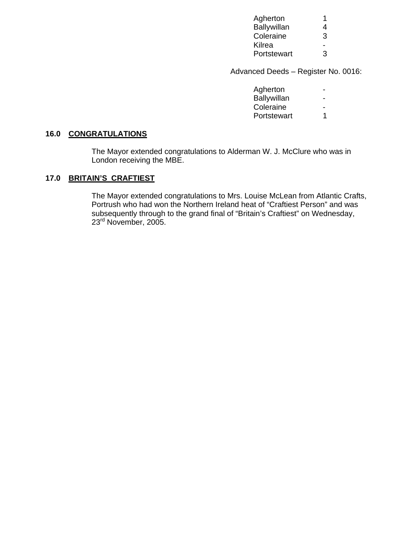| Agherton    |   |
|-------------|---|
| Ballywillan | 4 |
| Coleraine   | 3 |
| Kilrea      |   |
| Portstewart | 3 |

Advanced Deeds – Register No. 0016:

| Agherton    | $\blacksquare$ |
|-------------|----------------|
| Ballywillan | ٠              |
| Coleraine   | $\blacksquare$ |
| Portstewart |                |
|             |                |

# **16.0 CONGRATULATIONS**

 The Mayor extended congratulations to Alderman W. J. McClure who was in London receiving the MBE.

# **17.0 BRITAIN'S CRAFTIEST**

 The Mayor extended congratulations to Mrs. Louise McLean from Atlantic Crafts, Portrush who had won the Northern Ireland heat of "Craftiest Person" and was subsequently through to the grand final of "Britain's Craftiest" on Wednesday, 23<sup>rd</sup> November, 2005.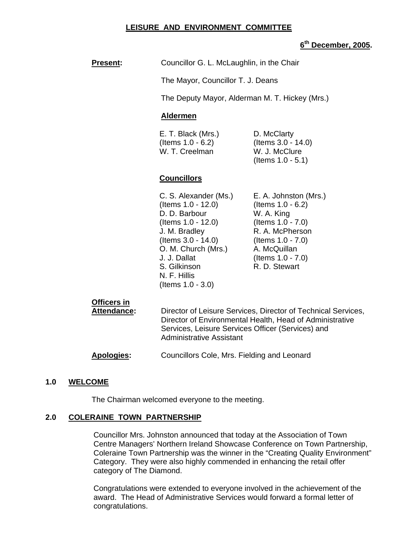### **LEISURE AND ENVIRONMENT COMMITTEE**

# **6th December, 2005.**

| <b>Present:</b> | Councillor G. L. McLaughlin, in the Chair                 |                                                                            |  |
|-----------------|-----------------------------------------------------------|----------------------------------------------------------------------------|--|
|                 | The Mayor, Councillor T. J. Deans                         |                                                                            |  |
|                 | The Deputy Mayor, Alderman M. T. Hickey (Mrs.)            |                                                                            |  |
|                 | <b>Aldermen</b>                                           |                                                                            |  |
|                 | E. T. Black (Mrs.)<br>(Items 1.0 - 6.2)<br>W. T. Creelman | D. McClarty<br>(Items 3.0 - 14.0)<br>W. J. McClure<br>(Items $1.0 - 5.1$ ) |  |

# **Councillors**

| C. S. Alexander (Ms.) | E. A. Johnston (Mrs.) |
|-----------------------|-----------------------|
| (Items 1.0 - 12.0)    | (Items 1.0 - 6.2)     |
| D. D. Barbour         | W. A. King            |
| (Items 1.0 - 12.0)    | (Items 1.0 - 7.0)     |
| J. M. Bradley         | R. A. McPherson       |
| (Items 3.0 - 14.0)    | (Items $1.0 - 7.0$ )  |
| O. M. Church (Mrs.)   | A. McQuillan          |
| J. J. Dallat          | (Items 1.0 - 7.0)     |
| S. Gilkinson          | R. D. Stewart         |
| N. F. Hillis          |                       |
| (Items $1.0 - 3.0$ )  |                       |

# **Officers in**

Attendance: Director of Leisure Services, Director of Technical Services, Director of Environmental Health, Head of Administrative Services, Leisure Services Officer (Services) and Administrative Assistant

#### **Apologies:** Councillors Cole, Mrs. Fielding and Leonard

#### **1.0 WELCOME**

The Chairman welcomed everyone to the meeting.

### **2.0 COLERAINE TOWN PARTNERSHIP**

Councillor Mrs. Johnston announced that today at the Association of Town Centre Managers' Northern Ireland Showcase Conference on Town Partnership, Coleraine Town Partnership was the winner in the "Creating Quality Environment" Category. They were also highly commended in enhancing the retail offer category of The Diamond.

Congratulations were extended to everyone involved in the achievement of the award. The Head of Administrative Services would forward a formal letter of congratulations.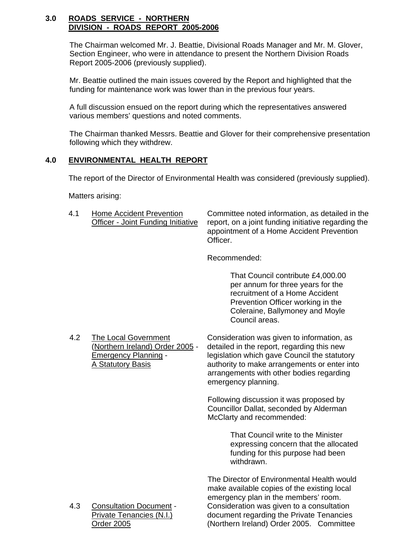# **3.0 ROADS SERVICE - NORTHERN DIVISION - ROADS REPORT 2005-2006**

The Chairman welcomed Mr. J. Beattie, Divisional Roads Manager and Mr. M. Glover, Section Engineer, who were in attendance to present the Northern Division Roads Report 2005-2006 (previously supplied).

Mr. Beattie outlined the main issues covered by the Report and highlighted that the funding for maintenance work was lower than in the previous four years.

A full discussion ensued on the report during which the representatives answered various members' questions and noted comments.

The Chairman thanked Messrs. Beattie and Glover for their comprehensive presentation following which they withdrew.

# **4.0 ENVIRONMENTAL HEALTH REPORT**

The report of the Director of Environmental Health was considered (previously supplied).

Matters arising:

4.1 Home Accident Prevention Committee noted information, as detailed in the Officer - Joint Funding Initiative report, on a joint funding initiative regarding the appointment of a Home Accident Prevention Officer.

Recommended:

 That Council contribute £4,000.00 per annum for three years for the recruitment of a Home Accident Prevention Officer working in the Coleraine, Ballymoney and Moyle Council areas.

4.2 The Local Government<br>(Northern Ireland) Order 2005 - detailed in the report, regarding this new detailed in the report, regarding this new **Emergency Planning - legislation which gave Council the statutory**  A Statutory Basis authority to make arrangements or enter into arrangements with other bodies regarding emergency planning.

> Following discussion it was proposed by Councillor Dallat, seconded by Alderman McClarty and recommended:

> > That Council write to the Minister expressing concern that the allocated funding for this purpose had been withdrawn.

The Director of Environmental Health would make available copies of the existing local emergency plan in the members' room. 4.3 Consultation Document - Consideration was given to a consultation Private Tenancies (N.I.) document regarding the Private Tenancies Order 2005 (Northern Ireland) Order 2005. Committee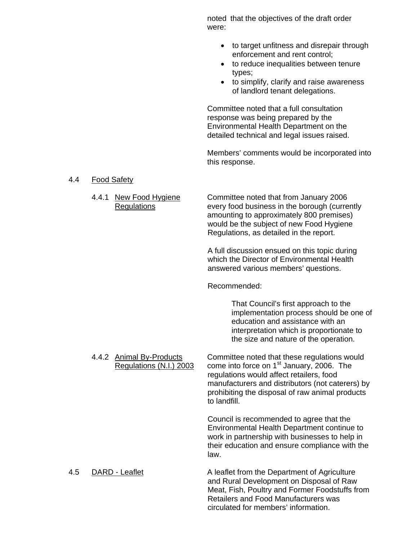noted that the objectives of the draft order were:

- to target unfitness and disrepair through enforcement and rent control;
- to reduce inequalities between tenure types;
- to simplify, clarify and raise awareness of landlord tenant delegations.

Committee noted that a full consultation response was being prepared by the Environmental Health Department on the detailed technical and legal issues raised.

Members' comments would be incorporated into this response.

#### 4.4 Food Safety

 4.4.1 New Food Hygiene Committee noted that from January 2006 Regulations every food business in the borough (currently amounting to approximately 800 premises) would be the subject of new Food Hygiene Regulations, as detailed in the report.

> A full discussion ensued on this topic during which the Director of Environmental Health answered various members' questions.

Recommended:

That Council's first approach to the implementation process should be one of education and assistance with an interpretation which is proportionate to the size and nature of the operation.

4.4.2 Animal By-Products Committee noted that these regulations would Regulations (N.I.) 2003 come into force on  $1<sup>st</sup>$  January, 2006. The regulations would affect retailers, food manufacturers and distributors (not caterers) by prohibiting the disposal of raw animal products to landfill.

> Council is recommended to agree that the Environmental Health Department continue to work in partnership with businesses to help in their education and ensure compliance with the law.

4.5 DARD - Leaflet A leaflet from the Department of Agriculture and Rural Development on Disposal of Raw Meat, Fish, Poultry and Former Foodstuffs from Retailers and Food Manufacturers was circulated for members' information.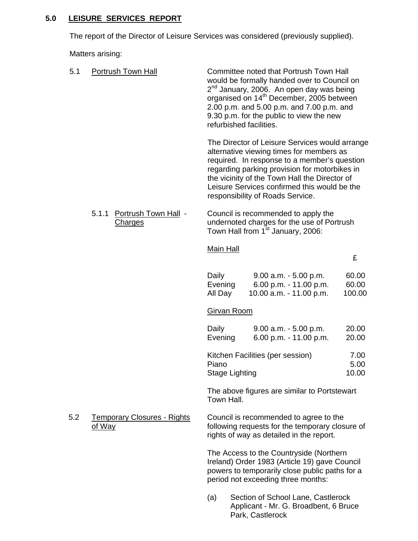# **5.0 LEISURE SERVICES REPORT**

The report of the Director of Leisure Services was considered (previously supplied).

Matters arising:

| 5.1 | <b>Portrush Town Hall</b>                       | refurbished facilities.        | Committee noted that Portrush Town Hall<br>would be formally handed over to Council on<br>2 <sup>nd</sup> January, 2006. An open day was being<br>organised on 14 <sup>th</sup> December, 2005 between<br>2.00 p.m. and 5.00 p.m. and 7.00 p.m. and<br>9.30 p.m. for the public to view the new                                  |                          |
|-----|-------------------------------------------------|--------------------------------|----------------------------------------------------------------------------------------------------------------------------------------------------------------------------------------------------------------------------------------------------------------------------------------------------------------------------------|--------------------------|
|     |                                                 |                                | The Director of Leisure Services would arrange<br>alternative viewing times for members as<br>required. In response to a member's question<br>regarding parking provision for motorbikes in<br>the vicinity of the Town Hall the Director of<br>Leisure Services confirmed this would be the<br>responsibility of Roads Service. |                          |
|     | Portrush Town Hall -<br>5.1.1<br><b>Charges</b> |                                | Council is recommended to apply the<br>undernoted charges for the use of Portrush<br>Town Hall from 1 <sup>st</sup> January, 2006:                                                                                                                                                                                               |                          |
|     |                                                 | <b>Main Hall</b>               |                                                                                                                                                                                                                                                                                                                                  | £                        |
|     |                                                 | Daily<br>Evening<br>All Day    | $9.00$ a.m. $-5.00$ p.m.<br>6.00 p.m. - 11.00 p.m.<br>10.00 a.m. - 11.00 p.m.                                                                                                                                                                                                                                                    | 60.00<br>60.00<br>100.00 |
|     |                                                 | Girvan Room                    |                                                                                                                                                                                                                                                                                                                                  |                          |
|     |                                                 | Daily<br>Evening               | $9.00$ a.m. $-5.00$ p.m.<br>6.00 p.m. - 11.00 p.m.                                                                                                                                                                                                                                                                               | 20.00<br>20.00           |
|     |                                                 | Piano<br><b>Stage Lighting</b> | Kitchen Facilities (per session)                                                                                                                                                                                                                                                                                                 | 7.00<br>5.00<br>10.00    |
|     |                                                 | Town Hall.                     | The above figures are similar to Portstewart                                                                                                                                                                                                                                                                                     |                          |
| 5.2 | <b>Temporary Closures - Rights</b><br>of Way    |                                | Council is recommended to agree to the<br>following requests for the temporary closure of<br>rights of way as detailed in the report.                                                                                                                                                                                            |                          |
|     |                                                 |                                | The Access to the Countryside (Northern<br>Ireland) Order 1983 (Article 19) gave Council<br>powers to temporarily close public paths for a<br>period not exceeding three months:                                                                                                                                                 |                          |
|     |                                                 |                                |                                                                                                                                                                                                                                                                                                                                  |                          |

(a) Section of School Lane, Castlerock Applicant - Mr. G. Broadbent, 6 Bruce Park, Castlerock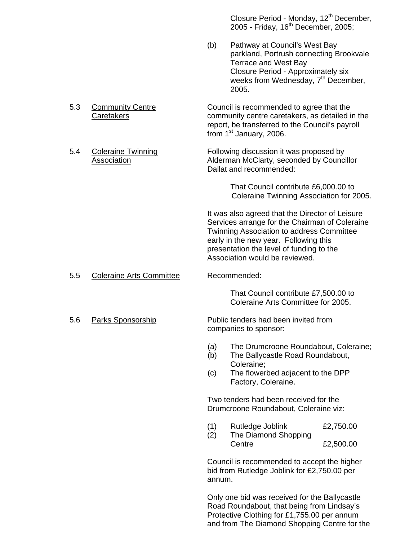Closure Period - Monday, 12<sup>th</sup> December, 2005 - Friday,  $16<sup>th</sup>$  December, 2005;

- (b) Pathway at Council's West Bay parkland, Portrush connecting Brookvale Terrace and West Bay Closure Period - Approximately six weeks from Wednesday,  $7<sup>th</sup>$  December, 2005.
- 5.3 Community Centre Council is recommended to agree that the Caretakers community centre caretakers, as detailed in the report, be transferred to the Council's payroll from 1<sup>st</sup> January, 2006.
- 5.4 Coleraine Twinning Following discussion it was proposed by Association Alderman McClarty, seconded by Councillor Dallat and recommended:

 That Council contribute £6,000.00 to Coleraine Twinning Association for 2005.

 It was also agreed that the Director of Leisure Services arrange for the Chairman of Coleraine Twinning Association to address Committee early in the new year. Following this presentation the level of funding to the Association would be reviewed.

5.5 Coleraine Arts Committee Recommended:

 That Council contribute £7,500.00 to Coleraine Arts Committee for 2005.

5.6 Parks Sponsorship Public tenders had been invited from companies to sponsor:

- (a) The Drumcroone Roundabout, Coleraine;
- (b) The Ballycastle Road Roundabout, Coleraine;
- (c) The flowerbed adjacent to the DPP Factory, Coleraine.

 Two tenders had been received for the Drumcroone Roundabout, Coleraine viz:

- (1) Rutledge Joblink £2,750.00
- (2) The Diamond Shopping Centre £2,500.00

Council is recommended to accept the higher bid from Rutledge Joblink for £2,750.00 per annum.

Only one bid was received for the Ballycastle Road Roundabout, that being from Lindsay's Protective Clothing for £1,755.00 per annum and from The Diamond Shopping Centre for the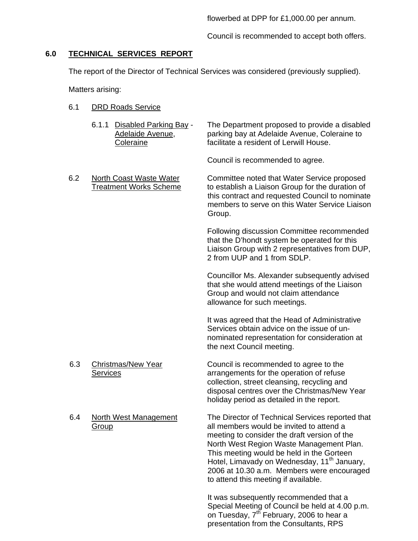flowerbed at DPP for £1,000.00 per annum.

Council is recommended to accept both offers.

# **6.0 TECHNICAL SERVICES REPORT**

The report of the Director of Technical Services was considered (previously supplied).

Matters arising:

- 6.1 DRD Roads Service
	- 6.1.1 Disabled Parking Bay The Department proposed to provide a disabled Adelaide Avenue, parking bay at Adelaide Avenue, Coleraine to Coleraine facilitate a resident of Lerwill House.

Council is recommended to agree.

 6.2 North Coast Waste Water Committee noted that Water Service proposed Treatment Works Scheme to establish a Liaison Group for the duration of this contract and requested Council to nominate members to serve on this Water Service Liaison Group.

> Following discussion Committee recommended that the D'hondt system be operated for this Liaison Group with 2 representatives from DUP, 2 from UUP and 1 from SDLP.

> Councillor Ms. Alexander subsequently advised that she would attend meetings of the Liaison Group and would not claim attendance allowance for such meetings.

It was agreed that the Head of Administrative Services obtain advice on the issue of unnominated representation for consideration at the next Council meeting.

6.3 Christmas/New Year Council is recommended to agree to the Services **Services** arrangements for the operation of refuse collection, street cleansing, recycling and disposal centres over the Christmas/New Year holiday period as detailed in the report.

> North West Region Waste Management Plan. This meeting would be held in the Gorteen Hotel, Limavady on Wednesday, 11<sup>th</sup> January, 2006 at 10.30 a.m. Members were encouraged

to attend this meeting if available.

6.4 North West Management The Director of Technical Services reported that Group **Group all members would be invited to attend a** meeting to consider the draft version of the

> It was subsequently recommended that a Special Meeting of Council be held at 4.00 p.m. on Tuesday, 7<sup>th</sup> February, 2006 to hear a presentation from the Consultants, RPS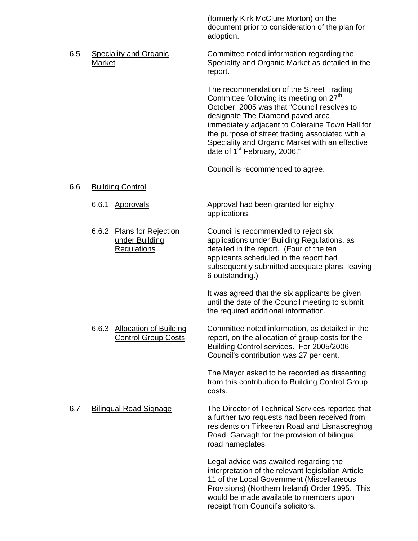(formerly Kirk McClure Morton) on the document prior to consideration of the plan for adoption.

6.5 Speciality and Organic Committee noted information regarding the Market Speciality and Organic Market as detailed in the report.

> The recommendation of the Street Trading Committee following its meeting on 27<sup>th</sup> October, 2005 was that "Council resolves to designate The Diamond paved area immediately adjacent to Coleraine Town Hall for the purpose of street trading associated with a Speciality and Organic Market with an effective date of 1<sup>st</sup> February, 2006."

Council is recommended to agree.

# 6.6 Building Control

- 6.6.1 Approvals **Approval had been granted for eighty** applications.
- 6.6.2 Plans for Rejection Council is recommended to reject six under Building applications under Building Regulations, as Regulations detailed in the report. (Four of the ten applicants scheduled in the report had

subsequently submitted adequate plans, leaving 6 outstanding.)

 It was agreed that the six applicants be given until the date of the Council meeting to submit the required additional information.

 6.6.3 Allocation of Building Committee noted information, as detailed in the Control Group Costs report, on the allocation of group costs for the Building Control services. For 2005/2006 Council's contribution was 27 per cent.

> The Mayor asked to be recorded as dissenting from this contribution to Building Control Group costs.

6.7 Bilingual Road Signage The Director of Technical Services reported that a further two requests had been received from residents on Tirkeeran Road and Lisnascreghog Road, Garvagh for the provision of bilingual road nameplates.

> Legal advice was awaited regarding the interpretation of the relevant legislation Article 11 of the Local Government (Miscellaneous Provisions) (Northern Ireland) Order 1995. This would be made available to members upon receipt from Council's solicitors.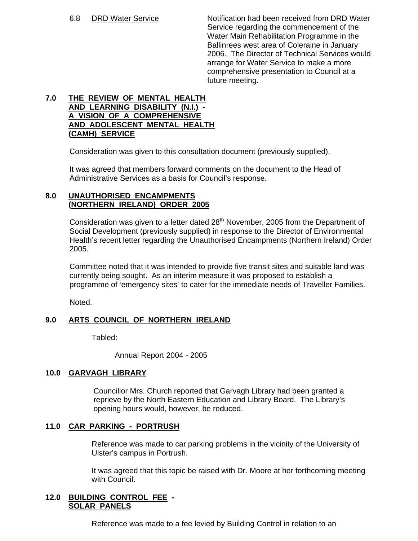6.8 DRD Water Service Notification had been received from DRD Water Service regarding the commencement of the Water Main Rehabilitation Programme in the Ballinrees west area of Coleraine in January 2006. The Director of Technical Services would arrange for Water Service to make a more comprehensive presentation to Council at a future meeting.

# **7.0 THE REVIEW OF MENTAL HEALTH AND LEARNING DISABILITY (N.I.) - A VISION OF A COMPREHENSIVE AND ADOLESCENT MENTAL HEALTH (CAMH) SERVICE**

Consideration was given to this consultation document (previously supplied).

It was agreed that members forward comments on the document to the Head of Administrative Services as a basis for Council's response.

# **8.0 UNAUTHORISED ENCAMPMENTS (NORTHERN IRELAND) ORDER 2005**

Consideration was given to a letter dated 28<sup>th</sup> November, 2005 from the Department of Social Development (previously supplied) in response to the Director of Environmental Health's recent letter regarding the Unauthorised Encampments (Northern Ireland) Order 2005.

Committee noted that it was intended to provide five transit sites and suitable land was currently being sought. As an interim measure it was proposed to establish a programme of 'emergency sites' to cater for the immediate needs of Traveller Families.

Noted.

# **9.0 ARTS COUNCIL OF NORTHERN IRELAND**

Tabled:

Annual Report 2004 - 2005

# **10.0 GARVAGH LIBRARY**

Councillor Mrs. Church reported that Garvagh Library had been granted a reprieve by the North Eastern Education and Library Board. The Library's opening hours would, however, be reduced.

# **11.0 CAR PARKING - PORTRUSH**

 Reference was made to car parking problems in the vicinity of the University of Ulster's campus in Portrush.

 It was agreed that this topic be raised with Dr. Moore at her forthcoming meeting with Council.

### **12.0 BUILDING CONTROL FEE - SOLAR PANELS**

Reference was made to a fee levied by Building Control in relation to an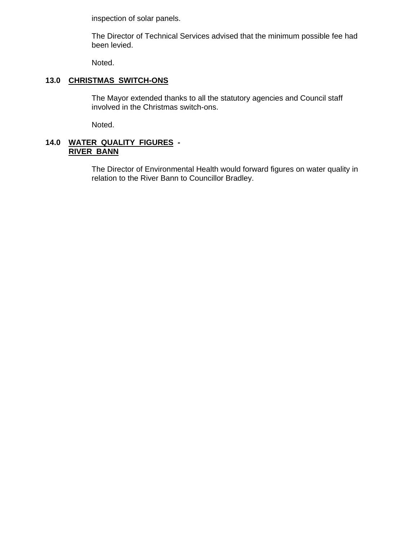inspection of solar panels.

 The Director of Technical Services advised that the minimum possible fee had been levied.

Noted.

# **13.0 CHRISTMAS SWITCH-ONS**

 The Mayor extended thanks to all the statutory agencies and Council staff involved in the Christmas switch-ons.

Noted.

# **14.0 WATER QUALITY FIGURES - RIVER BANN**

 The Director of Environmental Health would forward figures on water quality in relation to the River Bann to Councillor Bradley.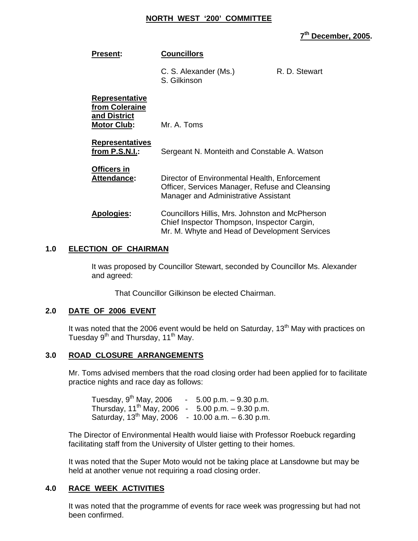#### **NORTH WEST '200' COMMITTEE**

**7th December, 2005.** 

| <b>Present:</b>                                                               | <b>Councillors</b>                                                                                                                              |               |
|-------------------------------------------------------------------------------|-------------------------------------------------------------------------------------------------------------------------------------------------|---------------|
|                                                                               | C. S. Alexander (Ms.)<br>S. Gilkinson                                                                                                           | R. D. Stewart |
| <b>Representative</b><br>from Coleraine<br>and District<br><b>Motor Club:</b> | Mr. A. Toms                                                                                                                                     |               |
| <b>Representatives</b><br>from P.S.N.I.:                                      | Sergeant N. Monteith and Constable A. Watson                                                                                                    |               |
| <b>Officers in</b><br>Attendance:                                             | Director of Environmental Health, Enforcement<br>Officer, Services Manager, Refuse and Cleansing<br>Manager and Administrative Assistant        |               |
| <b>Apologies:</b>                                                             | Councillors Hillis, Mrs. Johnston and McPherson<br>Chief Inspector Thompson, Inspector Cargin,<br>Mr. M. Whyte and Head of Development Services |               |

# **1.0 ELECTION OF CHAIRMAN**

 It was proposed by Councillor Stewart, seconded by Councillor Ms. Alexander and agreed:

That Councillor Gilkinson be elected Chairman.

#### **2.0 DATE OF 2006 EVENT**

It was noted that the 2006 event would be held on Saturday,  $13<sup>th</sup>$  May with practices on Tuesday 9<sup>th</sup> and Thursday, 11<sup>th</sup> May.

#### **3.0 ROAD CLOSURE ARRANGEMENTS**

Mr. Toms advised members that the road closing order had been applied for to facilitate practice nights and race day as follows:

| Tuesday, 9 <sup>th</sup> May, 2006                      | $-5.00$ p.m. $-9.30$ p.m. |
|---------------------------------------------------------|---------------------------|
| Thursday, $11^{th}$ May, 2006 - 5.00 p.m. $-9.30$ p.m.  |                           |
| Saturday, $13^{th}$ May, 2006 - 10.00 a.m. $-6.30$ p.m. |                           |

 The Director of Environmental Health would liaise with Professor Roebuck regarding facilitating staff from the University of Ulster getting to their homes.

 It was noted that the Super Moto would not be taking place at Lansdowne but may be held at another venue not requiring a road closing order.

# **4.0 RACE WEEK ACTIVITIES**

 It was noted that the programme of events for race week was progressing but had not been confirmed.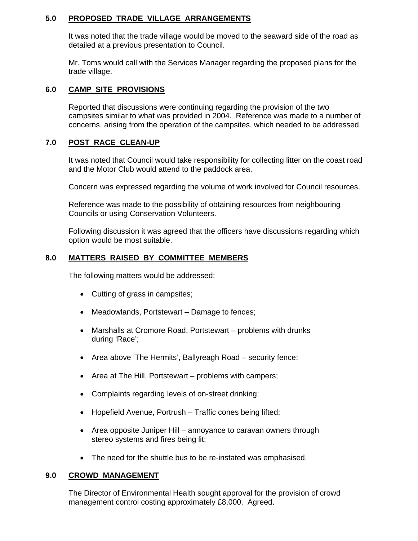# **5.0 PROPOSED TRADE VILLAGE ARRANGEMENTS**

It was noted that the trade village would be moved to the seaward side of the road as detailed at a previous presentation to Council.

 Mr. Toms would call with the Services Manager regarding the proposed plans for the trade village.

# **6.0 CAMP SITE PROVISIONS**

 Reported that discussions were continuing regarding the provision of the two campsites similar to what was provided in 2004. Reference was made to a number of concerns, arising from the operation of the campsites, which needed to be addressed.

# **7.0 POST RACE CLEAN-UP**

 It was noted that Council would take responsibility for collecting litter on the coast road and the Motor Club would attend to the paddock area.

Concern was expressed regarding the volume of work involved for Council resources.

 Reference was made to the possibility of obtaining resources from neighbouring Councils or using Conservation Volunteers.

 Following discussion it was agreed that the officers have discussions regarding which option would be most suitable.

# **8.0 MATTERS RAISED BY COMMITTEE MEMBERS**

The following matters would be addressed:

- Cutting of grass in campsites;
- Meadowlands, Portstewart Damage to fences;
- Marshalls at Cromore Road, Portstewart problems with drunks during 'Race';
- Area above 'The Hermits', Ballyreagh Road security fence;
- Area at The Hill, Portstewart problems with campers;
- Complaints regarding levels of on-street drinking;
- Hopefield Avenue, Portrush Traffic cones being lifted;
- Area opposite Juniper Hill annoyance to caravan owners through stereo systems and fires being lit;
- The need for the shuttle bus to be re-instated was emphasised.

# **9.0 CROWD MANAGEMENT**

 The Director of Environmental Health sought approval for the provision of crowd management control costing approximately £8,000. Agreed.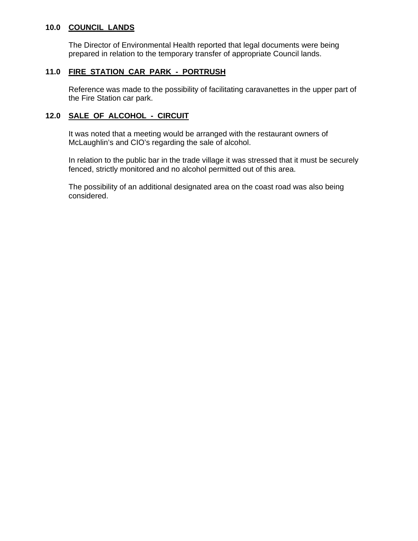# **10.0 COUNCIL LANDS**

 The Director of Environmental Health reported that legal documents were being prepared in relation to the temporary transfer of appropriate Council lands.

# **11.0 FIRE STATION CAR PARK - PORTRUSH**

Reference was made to the possibility of facilitating caravanettes in the upper part of the Fire Station car park.

# **12.0 SALE OF ALCOHOL - CIRCUIT**

It was noted that a meeting would be arranged with the restaurant owners of McLaughlin's and CIO's regarding the sale of alcohol.

 In relation to the public bar in the trade village it was stressed that it must be securely fenced, strictly monitored and no alcohol permitted out of this area.

 The possibility of an additional designated area on the coast road was also being considered.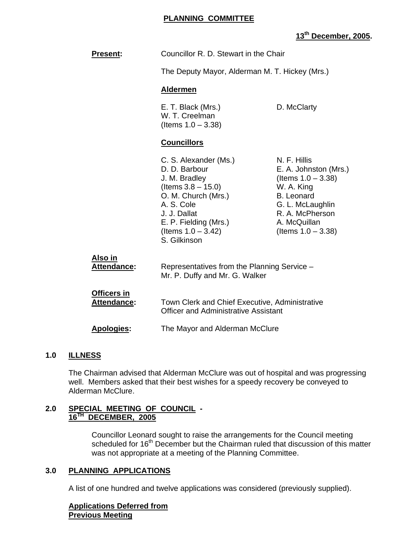## **PLANNING COMMITTEE**

# **13th December, 2005.**

| <b>Present:</b>                          | Councillor R. D. Stewart in the Chair                                                                                                                                                                   |                                                                                                                                                                                   |
|------------------------------------------|---------------------------------------------------------------------------------------------------------------------------------------------------------------------------------------------------------|-----------------------------------------------------------------------------------------------------------------------------------------------------------------------------------|
|                                          | The Deputy Mayor, Alderman M. T. Hickey (Mrs.)                                                                                                                                                          |                                                                                                                                                                                   |
|                                          | <b>Aldermen</b>                                                                                                                                                                                         |                                                                                                                                                                                   |
|                                          | E. T. Black (Mrs.)<br>W. T. Creelman<br>(Items $1.0 - 3.38$ )                                                                                                                                           | D. McClarty                                                                                                                                                                       |
|                                          | <b>Councillors</b>                                                                                                                                                                                      |                                                                                                                                                                                   |
|                                          | C. S. Alexander (Ms.)<br>D. D. Barbour<br>J. M. Bradley<br>(Items $3.8 - 15.0$ )<br>O. M. Church (Mrs.)<br>A. S. Cole<br>J. J. Dallat<br>E. P. Fielding (Mrs.)<br>(Items $1.0 - 3.42$ )<br>S. Gilkinson | N. F. Hillis<br>E. A. Johnston (Mrs.)<br>(Items $1.0 - 3.38$ )<br>W. A. King<br><b>B.</b> Leonard<br>G. L. McLaughlin<br>R. A. McPherson<br>A. McQuillan<br>(Items $1.0 - 3.38$ ) |
| <u>Also in</u><br>Attendance:            | Representatives from the Planning Service -<br>Mr. P. Duffy and Mr. G. Walker                                                                                                                           |                                                                                                                                                                                   |
| <b>Officers in</b><br><b>Attendance:</b> | Town Clerk and Chief Executive, Administrative<br><b>Officer and Administrative Assistant</b>                                                                                                           |                                                                                                                                                                                   |
| <b>Apologies:</b>                        | The Mayor and Alderman McClure                                                                                                                                                                          |                                                                                                                                                                                   |

#### **1.0 ILLNESS**

The Chairman advised that Alderman McClure was out of hospital and was progressing well. Members asked that their best wishes for a speedy recovery be conveyed to Alderman McClure.

#### **2.0 SPECIAL MEETING OF COUNCIL - 16TH DECEMBER, 2005**

 Councillor Leonard sought to raise the arrangements for the Council meeting scheduled for 16<sup>th</sup> December but the Chairman ruled that discussion of this matter was not appropriate at a meeting of the Planning Committee.

## **3.0 PLANNING APPLICATIONS**

A list of one hundred and twelve applications was considered (previously supplied).

**Applications Deferred from Previous Meeting**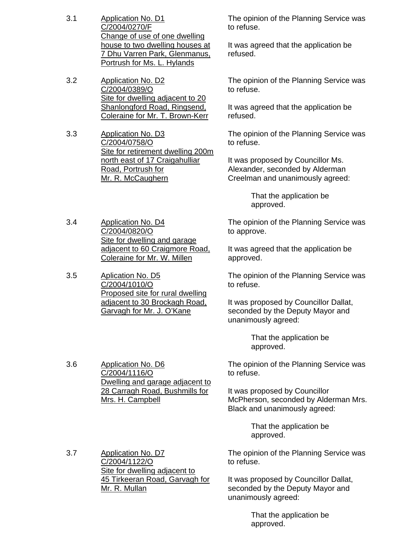- 3.1 Application No. D1 C/2004/0270/F Change of use of one dwelling house to two dwelling houses at 7 Dhu Varren Park, Glenmanus, Portrush for Ms. L. Hylands
- 3.2 Application No. D2 C/2004/0389/O Site for dwelling adjacent to 20 Shanlongford Road, Ringsend, Coleraine for Mr. T. Brown-Kerr
- 3.3 Application No. D3 C/2004/0758/O Site for retirement dwelling 200m north east of 17 Craigahulliar Road, Portrush for Mr. R. McCaughern

3.4 Application No. D4 C/2004/0820/O Site for dwelling and garage adjacent to 60 Craigmore Road, Coleraine for Mr. W. Millen

3.5 Aplication No. D5 C/2004/1010/O Proposed site for rural dwelling adjacent to 30 Brockagh Road, Garvagh for Mr. J. O'Kane

3.6 Application No. D6

C/2004/1116/O

Mrs. H. Campbell

Dwelling and garage adjacent to 28 Carragh Road, Bushmills for

The opinion of the Planning Service was to refuse.

It was agreed that the application be refused.

The opinion of the Planning Service was to refuse.

It was agreed that the application be refused.

The opinion of the Planning Service was to refuse.

It was proposed by Councillor Ms. Alexander, seconded by Alderman Creelman and unanimously agreed:

> That the application be approved.

The opinion of the Planning Service was to approve.

It was agreed that the application be approved.

The opinion of the Planning Service was to refuse.

It was proposed by Councillor Dallat, seconded by the Deputy Mayor and unanimously agreed:

> That the application be approved.

The opinion of the Planning Service was to refuse.

It was proposed by Councillor McPherson, seconded by Alderman Mrs. Black and unanimously agreed:

> That the application be approved.

The opinion of the Planning Service was to refuse.

It was proposed by Councillor Dallat, seconded by the Deputy Mayor and unanimously agreed:

> That the application be approved.

3.7 Application No. D7 C/2004/1122/O Site for dwelling adjacent to 45 Tirkeeran Road, Garvagh for Mr. R. Mullan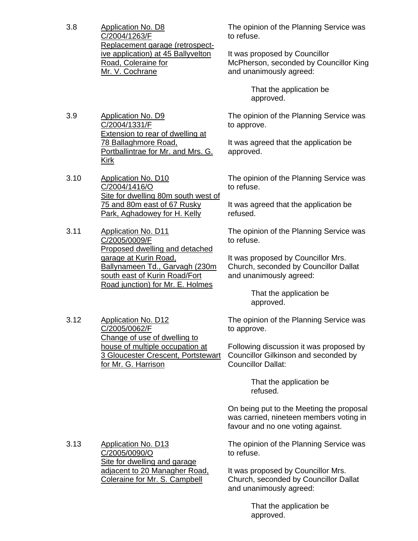3.8 Application No. D8 C/2004/1263/F Replacement garage (retrospective application) at 45 Ballyvelton Road, Coleraine for Mr. V. Cochrane

3.9 Application No. D9

Kirk

3.10 Application No. D10 C/2004/1416/O

3.11 Application No. D11 C/2005/0009/F

C/2004/1331/F

78 Ballaghmore Road,

Extension to rear of dwelling at

75 and 80m east of 67 Rusky Park, Aghadowey for H. Kelly

Portballintrae for Mr. and Mrs. G.

The opinion of the Planning Service was to refuse.

It was proposed by Councillor McPherson, seconded by Councillor King and unanimously agreed:

> That the application be approved.

The opinion of the Planning Service was to approve.

It was agreed that the application be approved.

Site for dwelling 80m south west of The opinion of the Planning Service was to refuse.

> It was agreed that the application be refused.

The opinion of the Planning Service was to refuse.

It was proposed by Councillor Mrs. Church, seconded by Councillor Dallat and unanimously agreed:

> That the application be approved.

The opinion of the Planning Service was to approve.

Following discussion it was proposed by Councillor Gilkinson and seconded by Councillor Dallat:

> That the application be refused.

On being put to the Meeting the proposal was carried, nineteen members voting in favour and no one voting against.

The opinion of the Planning Service was to refuse.

It was proposed by Councillor Mrs. Church, seconded by Councillor Dallat and unanimously agreed:

> That the application be approved.

3.13 Application No. D13 C/2005/0090/O Site for dwelling and garage adjacent to 20 Managher Road, Coleraine for Mr. S. Campbell

- Proposed dwelling and detached garage at Kurin Road, Ballynameen Td., Garvagh (230m south east of Kurin Road/Fort Road junction) for Mr. E. Holmes
- 3.12 Application No. D12 C/2005/0062/F Change of use of dwelling to house of multiple occupation at 3 Gloucester Crescent, Portstewart for Mr. G. Harrison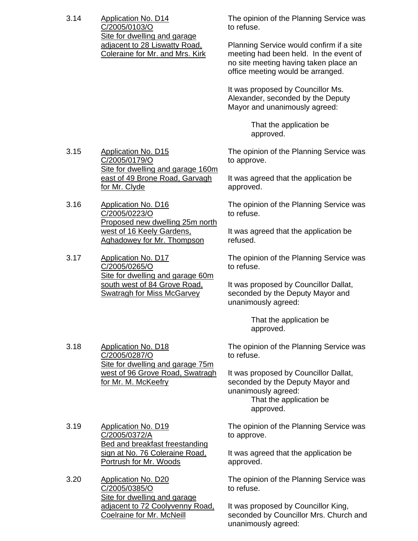3.14 Application No. D14 C/2005/0103/O Site for dwelling and garage adjacent to 28 Liswatty Road, Coleraine for Mr. and Mrs. Kirk The opinion of the Planning Service was to refuse.

Planning Service would confirm if a site meeting had been held. In the event of no site meeting having taken place an office meeting would be arranged.

It was proposed by Councillor Ms. Alexander, seconded by the Deputy Mayor and unanimously agreed:

> That the application be approved.

The opinion of the Planning Service was to approve.

It was agreed that the application be approved.

The opinion of the Planning Service was to refuse.

It was agreed that the application be refused.

The opinion of the Planning Service was to refuse.

It was proposed by Councillor Dallat, seconded by the Deputy Mayor and unanimously agreed:

> That the application be approved.

The opinion of the Planning Service was to refuse.

It was proposed by Councillor Dallat, seconded by the Deputy Mayor and unanimously agreed: That the application be approved.

3.19 Application No. D19 C/2005/0372/A Bed and breakfast freestanding sign at No. 76 Coleraine Road, Portrush for Mr. Woods

for Mr. M. McKeefry

3.20 Application No. D20 C/2005/0385/O Site for dwelling and garage adjacent to 72 Coolyvenny Road, Coelraine for Mr. McNeill

The opinion of the Planning Service was to approve.

It was agreed that the application be approved.

The opinion of the Planning Service was to refuse.

It was proposed by Councillor King, seconded by Councillor Mrs. Church and unanimously agreed:

3.15 Application No. D15 C/2005/0179/O Site for dwelling and garage 160m east of 49 Brone Road, Garvagh for Mr. Clyde

3.16 Application No. D16 C/2005/0223/O Proposed new dwelling 25m north west of 16 Keely Gardens, Aghadowey for Mr. Thompson

3.17 Application No. D17 C/2005/0265/O Site for dwelling and garage 60m south west of 84 Grove Road, Swatragh for Miss McGarvey

> Site for dwelling and garage 75m west of 96 Grove Road, Swatragh

3.18 Application No. D18 C/2005/0287/O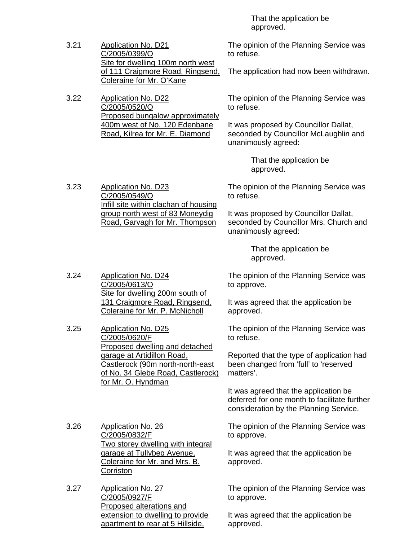That the application be approved.

3.21 Application No. D21 C/2005/0399/O Site for dwelling 100m north west of 111 Craigmore Road, Ringsend, Coleraine for Mr. O'Kane

> Proposed bungalow approximately 400m west of No. 120 Edenbane Road, Kilrea for Mr. E. Diamond

3.22 Application No. D22 C/2005/0520/O

The opinion of the Planning Service was to refuse.

The application had now been withdrawn.

The opinion of the Planning Service was to refuse.

It was proposed by Councillor Dallat, seconded by Councillor McLaughlin and unanimously agreed:

> That the application be approved.

The opinion of the Planning Service was to refuse.

It was proposed by Councillor Dallat, seconded by Councillor Mrs. Church and unanimously agreed:

> That the application be approved.

The opinion of the Planning Service was to approve.

It was agreed that the application be approved.

The opinion of the Planning Service was to refuse.

Reported that the type of application had been changed from 'full' to 'reserved matters'.

It was agreed that the application be deferred for one month to facilitate further consideration by the Planning Service.

The opinion of the Planning Service was to approve.

It was agreed that the application be approved.

The opinion of the Planning Service was to approve.

It was agreed that the application be approved.

3.23 Application No. D23 C/2005/0549/O Infill site within clachan of housing group north west of 83 Moneydig Road, Garvagh for Mr. Thompson

3.24 Application No. D24 C/2005/0613/O Site for dwelling 200m south of 131 Craigmore Road, Ringsend, Coleraine for Mr. P. McNicholl

3.25 Application No. D25 C/2005/0620/F Proposed dwelling and detached garage at Artidillon Road, Castlerock (90m north-north-east of No. 34 Glebe Road, Castlerock) for Mr. O. Hyndman

3.26 Application No. 26 C/2005/0832/F Two storey dwelling with integral garage at Tullybeg Avenue, Coleraine for Mr. and Mrs. B. **Corriston** 

3.27 Application No. 27 C/2005/0927/F Proposed alterations and extension to dwelling to provide apartment to rear at 5 Hillside,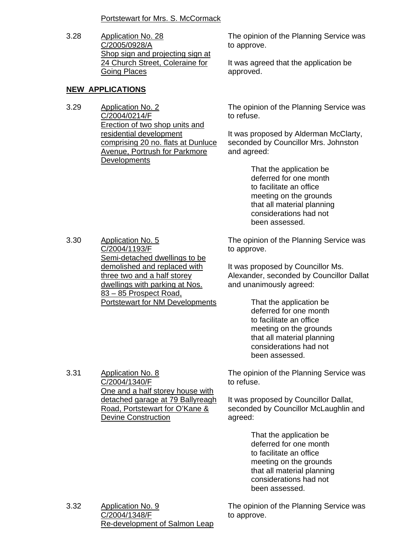# Portstewart for Mrs. S. McCormack

3.28 Application No. 28 C/2005/0928/A Shop sign and projecting sign at 24 Church Street, Coleraine for Going Places

# **NEW APPLICATIONS**

3.29 Application No. 2 C/2004/0214/F Erection of two shop units and residential development comprising 20 no. flats at Dunluce Avenue, Portrush for Parkmore **Developments** 

The opinion of the Planning Service was to approve.

It was agreed that the application be approved.

The opinion of the Planning Service was to refuse.

It was proposed by Alderman McClarty, seconded by Councillor Mrs. Johnston and agreed:

> That the application be deferred for one month to facilitate an office meeting on the grounds that all material planning considerations had not been assessed.

3.30 Application No. 5 C/2004/1193/F Semi-detached dwellings to be demolished and replaced with three two and a half storey dwellings with parking at Nos. 83 – 85 Prospect Road, Portstewart for NM Developments

3.31 Application No. 8

C/2004/1340/F

Devine Construction

One and a half storey house with detached garage at 79 Ballyreagh Road, Portstewart for O'Kane &

The opinion of the Planning Service was to approve.

It was proposed by Councillor Ms. Alexander, seconded by Councillor Dallat and unanimously agreed:

> That the application be deferred for one month to facilitate an office meeting on the grounds that all material planning considerations had not been assessed.

The opinion of the Planning Service was to refuse.

It was proposed by Councillor Dallat, seconded by Councillor McLaughlin and agreed:

> That the application be deferred for one month to facilitate an office meeting on the grounds that all material planning considerations had not been assessed.

3.32 Application No. 9 C/2004/1348/F Re-development of Salmon Leap The opinion of the Planning Service was to approve.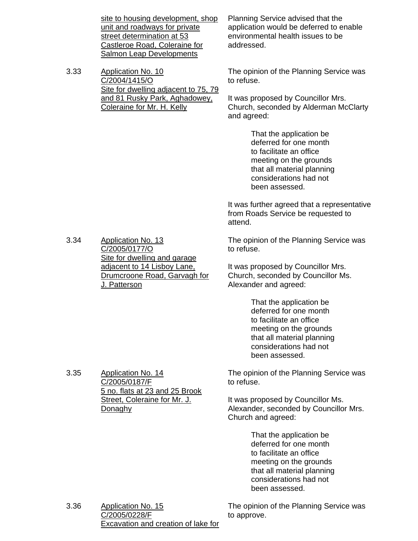|      | site to housing development, shop<br>unit and roadways for private<br>street determination at 53<br>Castleroe Road, Coleraine for<br><b>Salmon Leap Developments</b> | Planning Service advised that the<br>application would be deferred to enable<br>environmental health issues to be<br>addressed.                                                  |  |
|------|----------------------------------------------------------------------------------------------------------------------------------------------------------------------|----------------------------------------------------------------------------------------------------------------------------------------------------------------------------------|--|
| 3.33 | <b>Application No. 10</b><br>C/2004/1415/O<br>Site for dwelling adjacent to 75, 79                                                                                   | The opinion of the Planning Service was<br>to refuse.                                                                                                                            |  |
|      | and 81 Rusky Park, Aghadowey,<br>Coleraine for Mr. H. Kelly                                                                                                          | It was proposed by Councillor Mrs.<br>Church, seconded by Alderman McClarty<br>and agreed:                                                                                       |  |
|      |                                                                                                                                                                      | That the application be<br>deferred for one month<br>to facilitate an office<br>meeting on the grounds<br>that all material planning<br>considerations had not<br>been assessed. |  |
|      |                                                                                                                                                                      | It was further agreed that a representative<br>from Roads Service be requested to<br>attend.                                                                                     |  |
| 3.34 | <b>Application No. 13</b><br>C/2005/0177/O<br>Site for dwelling and garage                                                                                           | The opinion of the Planning Service was<br>to refuse.                                                                                                                            |  |
|      | adjacent to 14 Lisboy Lane.<br>Drumcroone Road, Garvagh for<br>J. Patterson                                                                                          | It was proposed by Councillor Mrs.<br>Church, seconded by Councillor Ms.<br>Alexander and agreed:                                                                                |  |
|      |                                                                                                                                                                      | That the application be<br>deferred for one month<br>to facilitate an office<br>meeting on the grounds<br>that all material planning<br>considerations had not<br>been assessed. |  |
| 3.35 | Application No. 14<br>C/2005/0187/F<br>5 no. flats at 23 and 25 Brook                                                                                                | The opinion of the Planning Service was<br>to refuse.                                                                                                                            |  |
|      | Street, Coleraine for Mr. J.<br>Donaghy                                                                                                                              | It was proposed by Councillor Ms.<br>Alexander, seconded by Councillor Mrs.<br>Church and agreed:                                                                                |  |
|      |                                                                                                                                                                      | That the application be<br>deferred for one month<br>to facilitate an office<br>meeting on the grounds<br>that all material planning<br>considerations had not<br>been assessed. |  |

3.36 Application No. 15 C/2005/0228/F Excavation and creation of lake for The opinion of the Planning Service was to approve.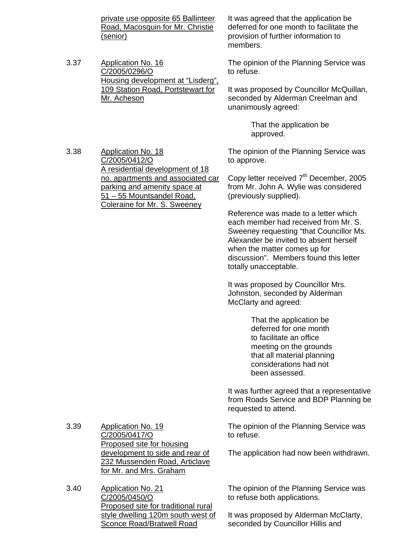private use opposite 65 Ballinteer Road, Macosquin for Mr. Christie (senior)

3.37 Application No. 16 C/2005/0296/O Housing development at "Lisderg", 109 Station Road, Portstewart for Mr. Acheson

It was agreed that the application be deferred for one month to facilitate the provision of further information to members.

The opinion of the Planning Service was to refuse.

It was proposed by Councillor McQuillan, seconded by Alderman Creelman and unanimously agreed:

> That the application be approved.

3.38 Application No. 18 C/2005/0412/O A residential development of 18 no. apartments and associated car parking and amenity space at 51 – 55 Mountsandel Road, Coleraine for Mr. S. Sweeney The opinion of the Planning Service was from Mr. John A. Wylie was considered (previously supplied).

to approve. Copy letter received 7<sup>th</sup> December, 2005

Reference was made to a letter which each member had received from Mr. S. Sweeney requesting "that Councillor Ms. Alexander be invited to absent herself when the matter comes up for discussion". Members found this letter totally unacceptable.

It was proposed by Councillor Mrs. Johnston, seconded by Alderman McClarty and agreed:

> That the application be deferred for one month to facilitate an office meeting on the grounds that all material planning considerations had not been assessed.

It was further agreed that a representative from Roads Service and BDP Planning be requested to attend.

The opinion of the Planning Service was to refuse.

The application had now been withdrawn.

The opinion of the Planning Service was to refuse both applications.

It was proposed by Alderman McClarty, seconded by Councillor Hillis and

3.39 Application No. 19 C/2005/0417/O Proposed site for housing development to side and rear of 232 Mussenden Road, Articlave for Mr. and Mrs. Graham

3.40 Application No. 21 C/2005/0450/O Proposed site for traditional rural style dwelling 120m south west of Sconce Road/Bratwell Road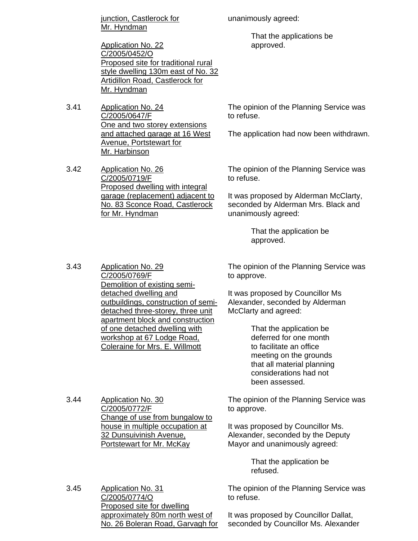junction, Castlerock for Mr. Hyndman

Application No. 22 C/2005/0452/O Proposed site for traditional rural style dwelling 130m east of No. 32 Artidillon Road, Castlerock for Mr. Hyndman

3.41 Application No. 24 C/2005/0647/F One and two storey extensions and attached garage at 16 West Avenue, Portstewart for Mr. Harbinson

3.42 Application No. 26 C/2005/0719/F Proposed dwelling with integral garage (replacement) adjacent to No. 83 Sconce Road, Castlerock for Mr. Hyndman

unanimously agreed:

 That the applications be approved.

The opinion of the Planning Service was to refuse.

The application had now been withdrawn.

The opinion of the Planning Service was to refuse.

It was proposed by Alderman McClarty, seconded by Alderman Mrs. Black and unanimously agreed:

> That the application be approved.

3.43 Application No. 29 C/2005/0769/F Demolition of existing semidetached dwelling and outbuildings, construction of semidetached three-storey, three unit apartment block and construction of one detached dwelling with workshop at 67 Lodge Road, Coleraine for Mrs. E. Willmott

3.44 Application No. 30

C/2005/0772/F

The opinion of the Planning Service was to approve.

It was proposed by Councillor Ms Alexander, seconded by Alderman McClarty and agreed:

> That the application be deferred for one month to facilitate an office meeting on the grounds that all material planning considerations had not been assessed.

The opinion of the Planning Service was to approve.

It was proposed by Councillor Ms. Alexander, seconded by the Deputy Mayor and unanimously agreed:

> That the application be refused.

The opinion of the Planning Service was to refuse.

3.45 Application No. 31 C/2005/0774/O Proposed site for dwelling approximately 80m north west of No. 26 Boleran Road, Garvagh for

32 Dunsuivinish Avenue, Portstewart for Mr. McKay

Change of use from bungalow to house in multiple occupation at

> It was proposed by Councillor Dallat, seconded by Councillor Ms. Alexander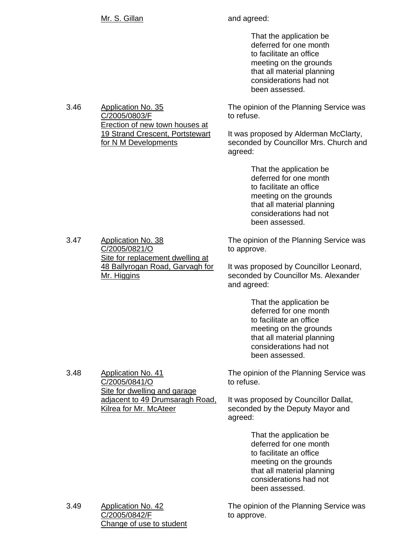3.46 Application No. 35

C/2005/0803/F

 That the application be deferred for one month to facilitate an office meeting on the grounds that all material planning considerations had not been assessed.

The opinion of the Planning Service was to refuse.

It was proposed by Alderman McClarty, seconded by Councillor Mrs. Church and agreed:

> That the application be deferred for one month to facilitate an office meeting on the grounds that all material planning considerations had not been assessed.

3.47 Application No. 38 C/2005/0821/O Site for replacement dwelling at 48 Ballyrogan Road, Garvagh for Mr. Higgins

The opinion of the Planning Service was to approve.

It was proposed by Councillor Leonard, seconded by Councillor Ms. Alexander and agreed:

> That the application be deferred for one month to facilitate an office meeting on the grounds that all material planning considerations had not been assessed.

The opinion of the Planning Service was to refuse.

It was proposed by Councillor Dallat, seconded by the Deputy Mayor and agreed:

> That the application be deferred for one month to facilitate an office meeting on the grounds that all material planning considerations had not been assessed.

The opinion of the Planning Service was to approve.

3.49 Application No. 42 C/2005/0842/F Change of use to student

Erection of new town houses at 19 Strand Crescent, Portstewart for N M Developments

3.48 Application No. 41 C/2005/0841/O Site for dwelling and garage adjacent to 49 Drumsaragh Road, Kilrea for Mr. McAteer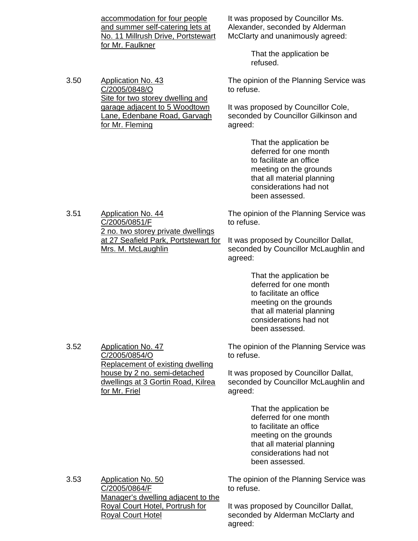accommodation for four people and summer self-catering lets at No. 11 Millrush Drive, Portstewart for Mr. Faulkner

Site for two storey dwelling and garage adjacent to 5 Woodtown Lane, Edenbane Road, Garvagh

3.50 Application No. 43

C/2005/0848/O

for Mr. Fleming

It was proposed by Councillor Ms. Alexander, seconded by Alderman McClarty and unanimously agreed:

> That the application be refused.

The opinion of the Planning Service was to refuse.

It was proposed by Councillor Cole, seconded by Councillor Gilkinson and agreed:

> That the application be deferred for one month to facilitate an office meeting on the grounds that all material planning considerations had not been assessed.

The opinion of the Planning Service was to refuse.

It was proposed by Councillor Dallat, seconded by Councillor McLaughlin and agreed:

> That the application be deferred for one month to facilitate an office meeting on the grounds that all material planning considerations had not been assessed.

The opinion of the Planning Service was to refuse.

It was proposed by Councillor Dallat, seconded by Councillor McLaughlin and agreed:

> That the application be deferred for one month to facilitate an office meeting on the grounds that all material planning considerations had not been assessed.

The opinion of the Planning Service was to refuse.

It was proposed by Councillor Dallat, seconded by Alderman McClarty and agreed:

3.51 Application No. 44 C/2005/0851/F 2 no. two storey private dwellings at 27 Seafield Park, Portstewart for Mrs. M. McLaughlin

3.52 Application No. 47

C/2005/0854/O Replacement of existing dwelling house by 2 no. semi-detached dwellings at 3 Gortin Road, Kilrea for Mr. Friel

3.53 Application No. 50 C/2005/0864/F Manager's dwelling adjacent to the Royal Court Hotel, Portrush for Royal Court Hotel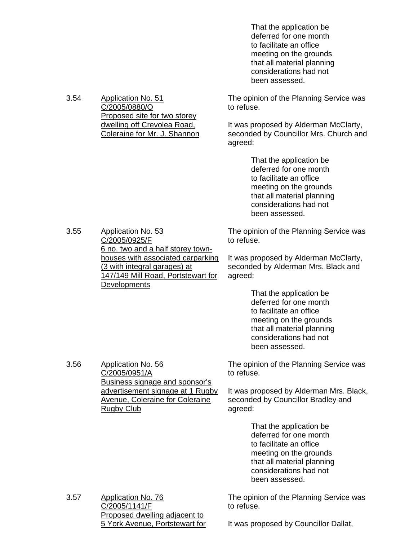That the application be deferred for one month to facilitate an office meeting on the grounds that all material planning considerations had not been assessed.

The opinion of the Planning Service was to refuse.

It was proposed by Alderman McClarty, seconded by Councillor Mrs. Church and agreed:

> That the application be deferred for one month to facilitate an office meeting on the grounds that all material planning considerations had not been assessed.

The opinion of the Planning Service was to refuse.

It was proposed by Alderman McClarty, seconded by Alderman Mrs. Black and agreed:

> That the application be deferred for one month to facilitate an office meeting on the grounds that all material planning considerations had not been assessed.

The opinion of the Planning Service was to refuse.

It was proposed by Alderman Mrs. Black, seconded by Councillor Bradley and agreed:

> That the application be deferred for one month to facilitate an office meeting on the grounds that all material planning considerations had not been assessed.

3.57 Application No. 76 C/2005/1141/F Proposed dwelling adjacent to 5 York Avenue, Portstewart for The opinion of the Planning Service was to refuse.

It was proposed by Councillor Dallat,

3.54 Application No. 51 C/2005/0880/O Proposed site for two storey dwelling off Crevolea Road, Coleraine for Mr. J. Shannon

C/2005/0925/F

**Developments** 

6 no. two and a half storey townhouses with associated carparking

147/149 Mill Road, Portstewart for

(3 with integral garages) at

3.55 Application No. 53

3.56 Application No. 56 C/2005/0951/A Business signage and sponsor's advertisement signage at 1 Rugby Avenue, Coleraine for Coleraine Rugby Club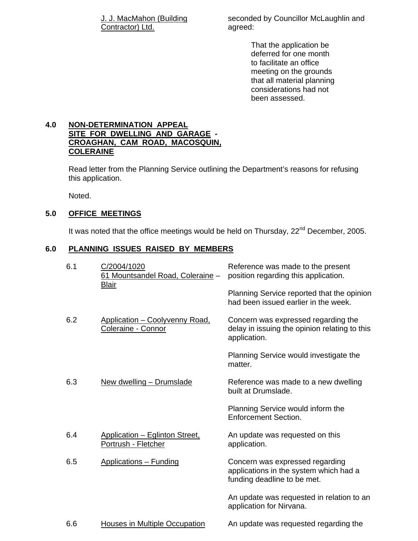J. J. MacMahon (Building Contractor) Ltd.

seconded by Councillor McLaughlin and agreed:

> That the application be deferred for one month to facilitate an office meeting on the grounds that all material planning considerations had not been assessed.

# **4.0 NON-DETERMINATION APPEAL SITE FOR DWELLING AND GARAGE - CROAGHAN, CAM ROAD, MACOSQUIN, COLERAINE**

 Read letter from the Planning Service outlining the Department's reasons for refusing this application.

Noted.

# **5.0 OFFICE MEETINGS**

It was noted that the office meetings would be held on Thursday, 22<sup>nd</sup> December, 2005.

# **6.0 PLANNING ISSUES RAISED BY MEMBERS**

| 6.1 | C/2004/1020<br>61 Mountsandel Road, Coleraine -<br><b>Blair</b> | Reference was made to the present<br>position regarding this application.                                |
|-----|-----------------------------------------------------------------|----------------------------------------------------------------------------------------------------------|
|     |                                                                 | Planning Service reported that the opinion<br>had been issued earlier in the week.                       |
| 6.2 | Application - Coolyvenny Road,<br>Coleraine - Connor            | Concern was expressed regarding the<br>delay in issuing the opinion relating to this<br>application.     |
|     |                                                                 | Planning Service would investigate the<br>matter.                                                        |
| 6.3 | New dwelling - Drumslade                                        | Reference was made to a new dwelling<br>built at Drumslade.                                              |
|     |                                                                 | Planning Service would inform the<br><b>Enforcement Section.</b>                                         |
| 6.4 | Application - Eglinton Street,<br>Portrush - Fletcher           | An update was requested on this<br>application.                                                          |
| 6.5 | <b>Applications - Funding</b>                                   | Concern was expressed regarding<br>applications in the system which had a<br>funding deadline to be met. |
|     |                                                                 | An update was requested in relation to an<br>application for Nirvana.                                    |
| 6.6 | <b>Houses in Multiple Occupation</b>                            | An update was requested regarding the                                                                    |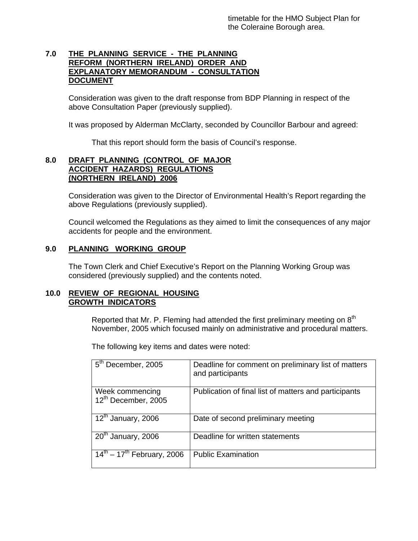# **7.0 THE PLANNING SERVICE - THE PLANNING REFORM (NORTHERN IRELAND) ORDER AND EXPLANATORY MEMORANDUM - CONSULTATION DOCUMENT**

 Consideration was given to the draft response from BDP Planning in respect of the above Consultation Paper (previously supplied).

It was proposed by Alderman McClarty, seconded by Councillor Barbour and agreed:

That this report should form the basis of Council's response.

# **8.0 DRAFT PLANNING (CONTROL OF MAJOR ACCIDENT HAZARDS) REGULATIONS (NORTHERN IRELAND) 2006**

 Consideration was given to the Director of Environmental Health's Report regarding the above Regulations (previously supplied).

 Council welcomed the Regulations as they aimed to limit the consequences of any major accidents for people and the environment.

# **9.0 PLANNING WORKING GROUP**

 The Town Clerk and Chief Executive's Report on the Planning Working Group was considered (previously supplied) and the contents noted.

### **10.0 REVIEW OF REGIONAL HOUSING GROWTH INDICATORS**

Reported that Mr. P. Fleming had attended the first preliminary meeting on  $8<sup>th</sup>$ November, 2005 which focused mainly on administrative and procedural matters.

The following key items and dates were noted:

| 5 <sup>th</sup> December, 2005                     | Deadline for comment on preliminary list of matters<br>and participants |
|----------------------------------------------------|-------------------------------------------------------------------------|
| Week commencing<br>12 <sup>th</sup> December, 2005 | Publication of final list of matters and participants                   |
| 12 <sup>th</sup> January, 2006                     | Date of second preliminary meeting                                      |
| 20 <sup>th</sup> January, 2006                     | Deadline for written statements                                         |
| $14^{th} - 17^{th}$ February, 2006                 | <b>Public Examination</b>                                               |